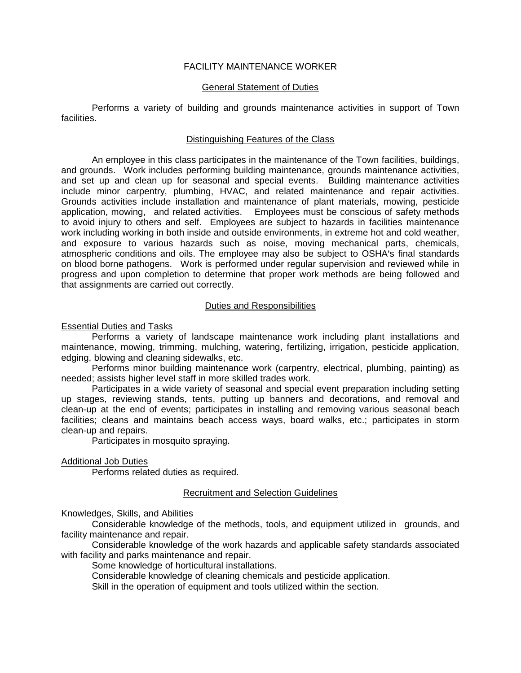# FACILITY MAINTENANCE WORKER

# General Statement of Duties

Performs a variety of building and grounds maintenance activities in support of Town facilities.

### Distinguishing Features of the Class

An employee in this class participates in the maintenance of the Town facilities, buildings, and grounds. Work includes performing building maintenance, grounds maintenance activities, and set up and clean up for seasonal and special events. Building maintenance activities include minor carpentry, plumbing, HVAC, and related maintenance and repair activities. Grounds activities include installation and maintenance of plant materials, mowing, pesticide application, mowing, and related activities. Employees must be conscious of safety methods to avoid injury to others and self. Employees are subject to hazards in facilities maintenance work including working in both inside and outside environments, in extreme hot and cold weather, and exposure to various hazards such as noise, moving mechanical parts, chemicals, atmospheric conditions and oils. The employee may also be subject to OSHA's final standards on blood borne pathogens. Work is performed under regular supervision and reviewed while in progress and upon completion to determine that proper work methods are being followed and that assignments are carried out correctly.

# Duties and Responsibilities

# Essential Duties and Tasks

Performs a variety of landscape maintenance work including plant installations and maintenance, mowing, trimming, mulching, watering, fertilizing, irrigation, pesticide application, edging, blowing and cleaning sidewalks, etc.

Performs minor building maintenance work (carpentry, electrical, plumbing, painting) as needed; assists higher level staff in more skilled trades work.

Participates in a wide variety of seasonal and special event preparation including setting up stages, reviewing stands, tents, putting up banners and decorations, and removal and clean-up at the end of events; participates in installing and removing various seasonal beach facilities; cleans and maintains beach access ways, board walks, etc.; participates in storm clean-up and repairs.

Participates in mosquito spraying.

Additional Job Duties

Performs related duties as required.

# Recruitment and Selection Guidelines

Knowledges, Skills, and Abilities

Considerable knowledge of the methods, tools, and equipment utilized in grounds, and facility maintenance and repair.

Considerable knowledge of the work hazards and applicable safety standards associated with facility and parks maintenance and repair.

Some knowledge of horticultural installations.

Considerable knowledge of cleaning chemicals and pesticide application.

Skill in the operation of equipment and tools utilized within the section.